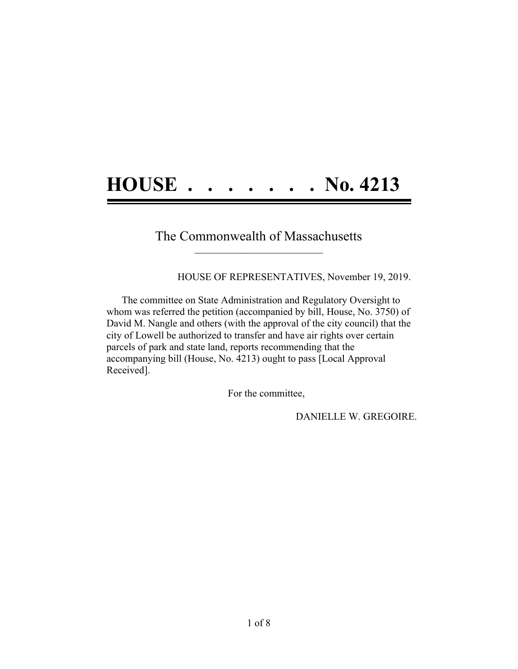## **HOUSE . . . . . . . No. 4213**

## The Commonwealth of Massachusetts **\_\_\_\_\_\_\_\_\_\_\_\_\_\_\_\_\_\_\_\_\_\_\_\_\_\_\_\_\_\_\_\_\_\_\_\_\_\_**

HOUSE OF REPRESENTATIVES, November 19, 2019.

The committee on State Administration and Regulatory Oversight to whom was referred the petition (accompanied by bill, House, No. 3750) of David M. Nangle and others (with the approval of the city council) that the city of Lowell be authorized to transfer and have air rights over certain parcels of park and state land, reports recommending that the accompanying bill (House, No. 4213) ought to pass [Local Approval Received].

For the committee,

DANIELLE W. GREGOIRE.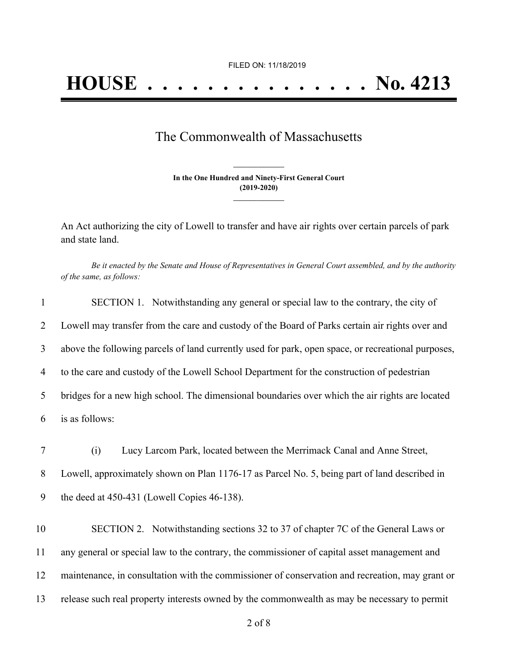## The Commonwealth of Massachusetts

**In the One Hundred and Ninety-First General Court (2019-2020) \_\_\_\_\_\_\_\_\_\_\_\_\_\_\_**

**\_\_\_\_\_\_\_\_\_\_\_\_\_\_\_**

An Act authorizing the city of Lowell to transfer and have air rights over certain parcels of park and state land.

Be it enacted by the Senate and House of Representatives in General Court assembled, and by the authority *of the same, as follows:*

| $\mathbf{1}$ | SECTION 1. Notwithstanding any general or special law to the contrary, the city of                 |
|--------------|----------------------------------------------------------------------------------------------------|
| 2            | Lowell may transfer from the care and custody of the Board of Parks certain air rights over and    |
| 3            | above the following parcels of land currently used for park, open space, or recreational purposes, |
| 4            | to the care and custody of the Lowell School Department for the construction of pedestrian         |
| 5            | bridges for a new high school. The dimensional boundaries over which the air rights are located    |
| 6            | is as follows:                                                                                     |
| 7            | Lucy Larcom Park, located between the Merrimack Canal and Anne Street,<br>(i)                      |
| $8\,$        | Lowell, approximately shown on Plan 1176-17 as Parcel No. 5, being part of land described in       |
| 9            | the deed at $450-431$ (Lowell Copies $46-138$ ).                                                   |
| 10           | SECTION 2. Notwithstanding sections 32 to 37 of chapter 7C of the General Laws or                  |
| 11           | any general or special law to the contrary, the commissioner of capital asset management and       |
| 12           | maintenance, in consultation with the commissioner of conservation and recreation, may grant or    |
| 13           | release such real property interests owned by the commonwealth as may be necessary to permit       |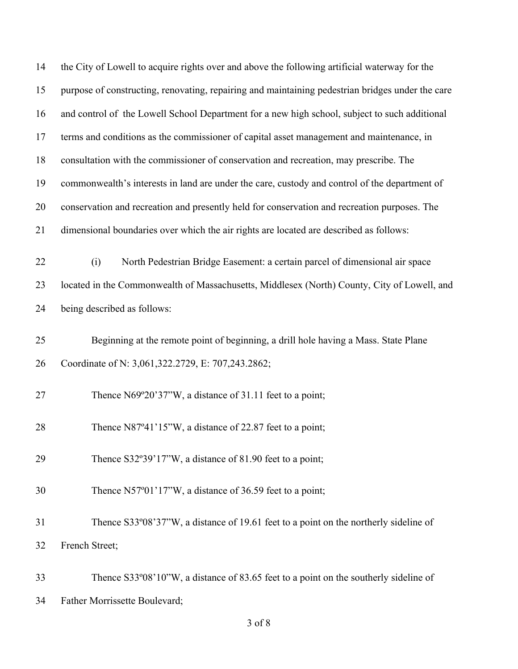| 14 | the City of Lowell to acquire rights over and above the following artificial waterway for the    |
|----|--------------------------------------------------------------------------------------------------|
| 15 | purpose of constructing, renovating, repairing and maintaining pedestrian bridges under the care |
| 16 | and control of the Lowell School Department for a new high school, subject to such additional    |
| 17 | terms and conditions as the commissioner of capital asset management and maintenance, in         |
| 18 | consultation with the commissioner of conservation and recreation, may prescribe. The            |
| 19 | commonwealth's interests in land are under the care, custody and control of the department of    |
| 20 | conservation and recreation and presently held for conservation and recreation purposes. The     |
| 21 | dimensional boundaries over which the air rights are located are described as follows:           |
| 22 | North Pedestrian Bridge Easement: a certain parcel of dimensional air space<br>(i)               |
| 23 | located in the Commonwealth of Massachusetts, Middlesex (North) County, City of Lowell, and      |
| 24 | being described as follows:                                                                      |
| 25 | Beginning at the remote point of beginning, a drill hole having a Mass. State Plane              |
| 26 | Coordinate of N: 3,061,322.2729, E: 707,243.2862;                                                |
| 27 | Thence N69°20'37"W, a distance of 31.11 feet to a point;                                         |
| 28 | Thence N87°41'15"W, a distance of 22.87 feet to a point;                                         |
| 29 | Thence $S32^{\circ}39'17''W$ , a distance of 81.90 feet to a point;                              |
| 30 | Thence N57°01'17"W, a distance of 36.59 feet to a point;                                         |
| 31 | Thence S33°08'37"W, a distance of 19.61 feet to a point on the northerly sideline of             |
| 32 | French Street;                                                                                   |
| 33 | Thence S33°08'10"W, a distance of 83.65 feet to a point on the southerly sideline of             |

Father Morrissette Boulevard;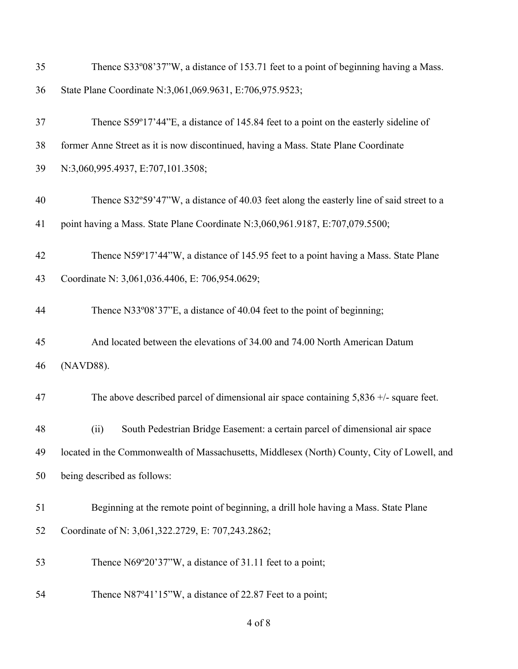| 35 | Thence S33°08'37"W, a distance of 153.71 feet to a point of beginning having a Mass.        |
|----|---------------------------------------------------------------------------------------------|
| 36 | State Plane Coordinate N:3,061,069.9631, E:706,975.9523;                                    |
| 37 | Thence S59°17'44"E, a distance of 145.84 feet to a point on the easterly sideline of        |
| 38 | former Anne Street as it is now discontinued, having a Mass. State Plane Coordinate         |
| 39 | N:3,060,995.4937, E:707,101.3508;                                                           |
| 40 | Thence S32°59'47"W, a distance of 40.03 feet along the easterly line of said street to a    |
| 41 | point having a Mass. State Plane Coordinate N:3,060,961.9187, E:707,079.5500;               |
| 42 | Thence N59°17'44"W, a distance of 145.95 feet to a point having a Mass. State Plane         |
| 43 | Coordinate N: 3,061,036.4406, E: 706,954.0629;                                              |
| 44 | Thence N33°08'37"E, a distance of 40.04 feet to the point of beginning;                     |
| 45 | And located between the elevations of 34.00 and 74.00 North American Datum                  |
| 46 | (NAVD88).                                                                                   |
| 47 | The above described parcel of dimensional air space containing $5,836 +$ /- square feet.    |
| 48 | South Pedestrian Bridge Easement: a certain parcel of dimensional air space<br>(ii)         |
| 49 | located in the Commonwealth of Massachusetts, Middlesex (North) County, City of Lowell, and |
| 50 | being described as follows:                                                                 |
| 51 | Beginning at the remote point of beginning, a drill hole having a Mass. State Plane         |
| 52 | Coordinate of N: 3,061,322.2729, E: 707,243.2862;                                           |
| 53 | Thence N69°20'37"W, a distance of 31.11 feet to a point;                                    |
| 54 | Thence N87°41'15"W, a distance of 22.87 Feet to a point;                                    |

of 8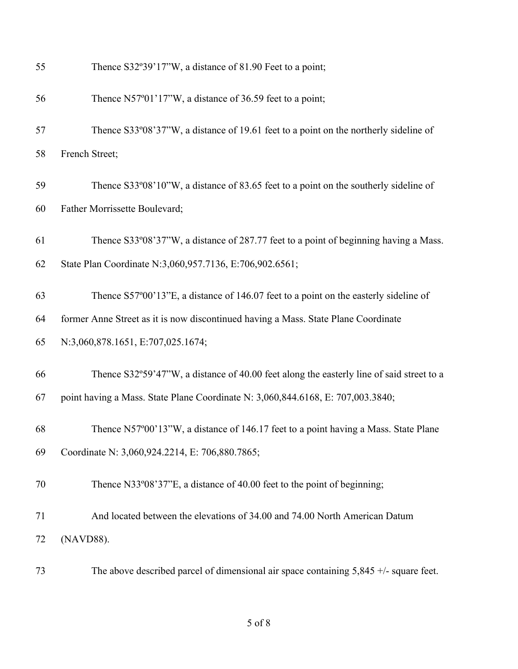| 55 | Thence S32°39'17"W, a distance of 81.90 Feet to a point;                                 |
|----|------------------------------------------------------------------------------------------|
| 56 | Thence N57°01'17"W, a distance of 36.59 feet to a point;                                 |
| 57 | Thence S33°08'37"W, a distance of 19.61 feet to a point on the northerly sideline of     |
| 58 | French Street;                                                                           |
| 59 | Thence S33°08'10"W, a distance of 83.65 feet to a point on the southerly sideline of     |
| 60 | Father Morrissette Boulevard;                                                            |
| 61 | Thence S33°08'37"W, a distance of 287.77 feet to a point of beginning having a Mass.     |
| 62 | State Plan Coordinate N:3,060,957.7136, E:706,902.6561;                                  |
| 63 | Thence S57°00'13"E, a distance of 146.07 feet to a point on the easterly sideline of     |
| 64 | former Anne Street as it is now discontinued having a Mass. State Plane Coordinate       |
| 65 | N:3,060,878.1651, E:707,025.1674;                                                        |
| 66 | Thence S32°59'47"W, a distance of 40.00 feet along the easterly line of said street to a |
| 67 | point having a Mass. State Plane Coordinate N: 3,060,844.6168, E: 707,003.3840;          |
| 68 | Thence N57°00'13"W, a distance of 146.17 feet to a point having a Mass. State Plane      |
| 69 | Coordinate N: 3,060,924.2214, E: 706,880.7865;                                           |
| 70 | Thence N33°08'37"E, a distance of 40.00 feet to the point of beginning;                  |
| 71 | And located between the elevations of 34.00 and 74.00 North American Datum               |
| 72 | (NAVD88).                                                                                |
| 73 | The above described parcel of dimensional air space containing $5,845 +$ /- square feet. |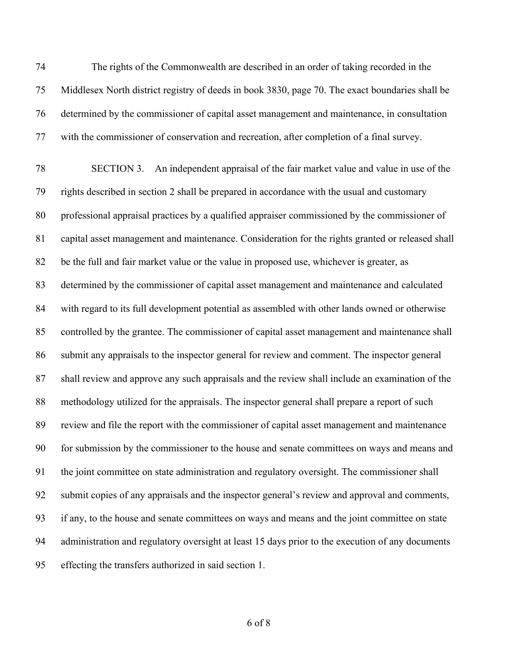The rights of the Commonwealth are described in an order of taking recorded in the Middlesex North district registry of deeds in book 3830, page 70. The exact boundaries shall be determined by the commissioner of capital asset management and maintenance, in consultation with the commissioner of conservation and recreation, after completion of a final survey.

 SECTION 3. An independent appraisal of the fair market value and value in use of the rights described in section 2 shall be prepared in accordance with the usual and customary professional appraisal practices by a qualified appraiser commissioned by the commissioner of capital asset management and maintenance. Consideration for the rights granted or released shall be the full and fair market value or the value in proposed use, whichever is greater, as determined by the commissioner of capital asset management and maintenance and calculated with regard to its full development potential as assembled with other lands owned or otherwise controlled by the grantee. The commissioner of capital asset management and maintenance shall submit any appraisals to the inspector general for review and comment. The inspector general shall review and approve any such appraisals and the review shall include an examination of the methodology utilized for the appraisals. The inspector general shall prepare a report of such review and file the report with the commissioner of capital asset management and maintenance for submission by the commissioner to the house and senate committees on ways and means and the joint committee on state administration and regulatory oversight. The commissioner shall submit copies of any appraisals and the inspector general's review and approval and comments, if any, to the house and senate committees on ways and means and the joint committee on state administration and regulatory oversight at least 15 days prior to the execution of any documents effecting the transfers authorized in said section 1.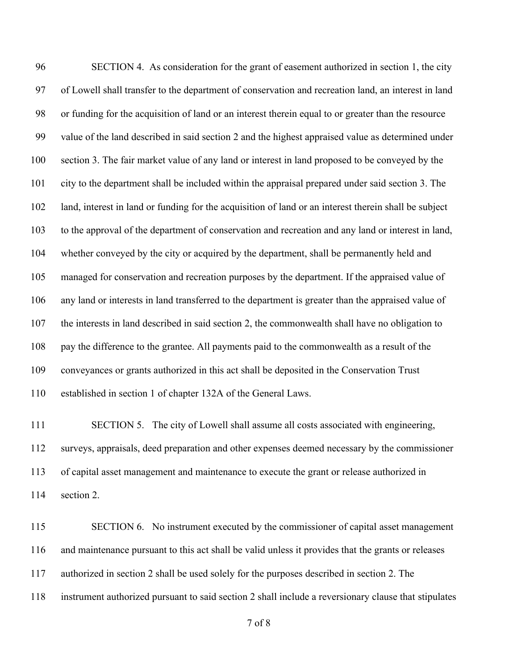SECTION 4. As consideration for the grant of easement authorized in section 1, the city of Lowell shall transfer to the department of conservation and recreation land, an interest in land or funding for the acquisition of land or an interest therein equal to or greater than the resource value of the land described in said section 2 and the highest appraised value as determined under section 3. The fair market value of any land or interest in land proposed to be conveyed by the city to the department shall be included within the appraisal prepared under said section 3. The land, interest in land or funding for the acquisition of land or an interest therein shall be subject to the approval of the department of conservation and recreation and any land or interest in land, whether conveyed by the city or acquired by the department, shall be permanently held and managed for conservation and recreation purposes by the department. If the appraised value of any land or interests in land transferred to the department is greater than the appraised value of the interests in land described in said section 2, the commonwealth shall have no obligation to pay the difference to the grantee. All payments paid to the commonwealth as a result of the conveyances or grants authorized in this act shall be deposited in the Conservation Trust established in section 1 of chapter 132A of the General Laws.

111 SECTION 5. The city of Lowell shall assume all costs associated with engineering, surveys, appraisals, deed preparation and other expenses deemed necessary by the commissioner of capital asset management and maintenance to execute the grant or release authorized in section 2.

115 SECTION 6. No instrument executed by the commissioner of capital asset management and maintenance pursuant to this act shall be valid unless it provides that the grants or releases authorized in section 2 shall be used solely for the purposes described in section 2. The instrument authorized pursuant to said section 2 shall include a reversionary clause that stipulates

of 8